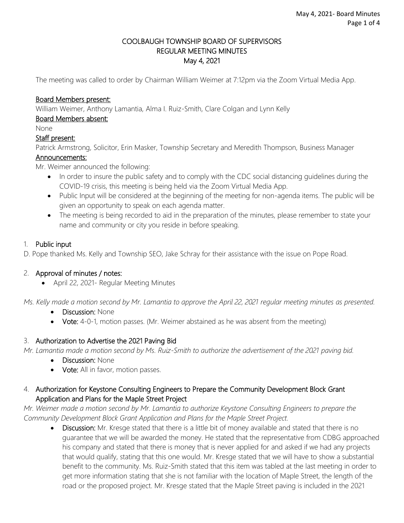## COOLBAUGH TOWNSHIP BOARD OF SUPERVISORS REGULAR MEETING MINUTES May 4, 2021

The meeting was called to order by Chairman William Weimer at 7:12pm via the Zoom Virtual Media App.

### Board Members present:

William Weimer, Anthony Lamantia, Alma I. Ruiz-Smith, Clare Colgan and Lynn Kelly

## Board Members absent:

None

### Staff present:

Patrick Armstrong, Solicitor, Erin Masker, Township Secretary and Meredith Thompson, Business Manager

### Announcements:

Mr. Weimer announced the following:

- In order to insure the public safety and to comply with the CDC social distancing guidelines during the COVID-19 crisis, this meeting is being held via the Zoom Virtual Media App.
- Public Input will be considered at the beginning of the meeting for non-agenda items. The public will be given an opportunity to speak on each agenda matter.
- The meeting is being recorded to aid in the preparation of the minutes, please remember to state your name and community or city you reside in before speaking.

### 1. Public input

D. Pope thanked Ms. Kelly and Township SEO, Jake Schray for their assistance with the issue on Pope Road.

## 2. Approval of minutes / notes:

April 22, 2021- Regular Meeting Minutes

*Ms. Kelly made a motion second by Mr. Lamantia to approve the April 22, 2021 regular meeting minutes as presented.* 

- Discussion: None
- Vote: 4-0-1, motion passes. (Mr. Weimer abstained as he was absent from the meeting)

## 3. Authorization to Advertise the 2021 Paving Bid

*Mr. Lamantia made a motion second by Ms. Ruiz-Smith to authorize the advertisement of the 2021 paving bid.*

- Discussion: None
- Vote: All in favor, motion passes.

## 4. Authorization for Keystone Consulting Engineers to Prepare the Community Development Block Grant Application and Plans for the Maple Street Project

*Mr. Weimer made a motion second by Mr. Lamantia to authorize Keystone Consulting Engineers to prepare the Community Development Block Grant Application and Plans for the Maple Street Project.* 

• Discussion: Mr. Kresge stated that there is a little bit of money available and stated that there is no guarantee that we will be awarded the money. He stated that the representative from CDBG approached his company and stated that there is money that is never applied for and asked if we had any projects that would qualify, stating that this one would. Mr. Kresge stated that we will have to show a substantial benefit to the community. Ms. Ruiz-Smith stated that this item was tabled at the last meeting in order to get more information stating that she is not familiar with the location of Maple Street, the length of the road or the proposed project. Mr. Kresge stated that the Maple Street paving is included in the 2021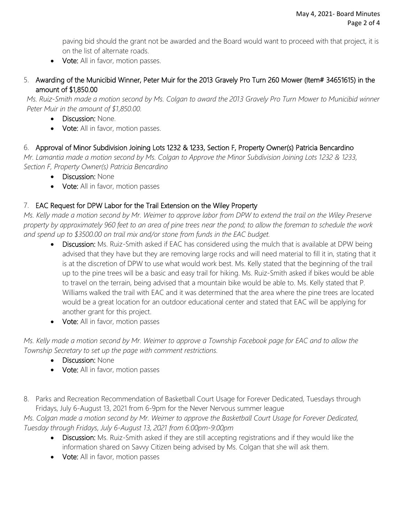paving bid should the grant not be awarded and the Board would want to proceed with that project, it is on the list of alternate roads.

- Vote: All in favor, motion passes.
- 5. Awarding of the Municibid Winner, Peter Muir for the 2013 Gravely Pro Turn 260 Mower (Item# 34651615) in the amount of \$1,850.00

*Ms. Ruiz-Smith made a motion second by Ms. Colgan to award the 2013 Gravely Pro Turn Mower to Municibid winner Peter Muir in the amount of \$1,850.00.*

- Discussion: None.
- Vote: All in favor, motion passes.

# 6. Approval of Minor Subdivision Joining Lots 1232 & 1233, Section F, Property Owner(s) Patricia Bencardino

*Mr. Lamantia made a motion second by Ms. Colgan to Approve the Minor Subdivision Joining Lots 1232 & 1233, Section F, Property Owner(s) Patricia Bencardino*

- Discussion: None
- Vote: All in favor, motion passes

# 7. EAC Request for DPW Labor for the Trail Extension on the Wiley Property

*Ms. Kelly made a motion second by Mr. Weimer to approve labor from DPW to extend the trail on the Wiley Preserve property by approximately 960 feet to an area of pine trees near the pond; to allow the foreman to schedule the work and spend up to \$3500.00 on trail mix and/or stone from funds in the EAC budget.*

- Discussion: Ms. Ruiz-Smith asked if EAC has considered using the mulch that is available at DPW being advised that they have but they are removing large rocks and will need material to fill it in, stating that it is at the discretion of DPW to use what would work best. Ms. Kelly stated that the beginning of the trail up to the pine trees will be a basic and easy trail for hiking. Ms. Ruiz-Smith asked if bikes would be able to travel on the terrain, being advised that a mountain bike would be able to. Ms. Kelly stated that P. Williams walked the trail with EAC and it was determined that the area where the pine trees are located would be a great location for an outdoor educational center and stated that EAC will be applying for another grant for this project.
- Vote: All in favor, motion passes

*Ms. Kelly made a motion second by Mr. Weimer to approve a Township Facebook page for EAC and to allow the Township Secretary to set up the page with comment restrictions.*

- Discussion: None
- Vote: All in favor, motion passes
- 8. Parks and Recreation Recommendation of Basketball Court Usage for Forever Dedicated, Tuesdays through Fridays, July 6-August 13, 2021 from 6-9pm for the Never Nervous summer league

*Ms. Colgan made a motion second by Mr. Weimer to approve the Basketball Court Usage for Forever Dedicated, Tuesday through Fridays, July 6-August 13, 2021 from 6:00pm-9:00pm*

- Discussion: Ms. Ruiz-Smith asked if they are still accepting registrations and if they would like the information shared on Savvy Citizen being advised by Ms. Colgan that she will ask them.
- Vote: All in favor, motion passes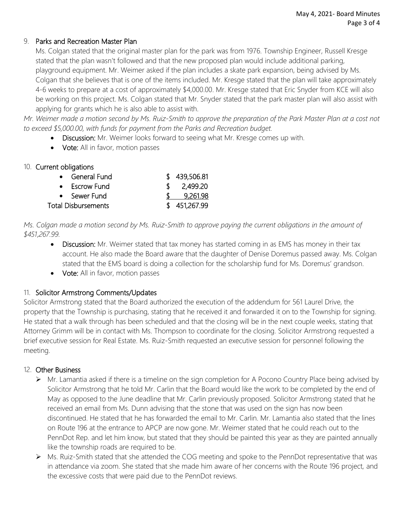## 9. Parks and Recreation Master Plan

Ms. Colgan stated that the original master plan for the park was from 1976. Township Engineer, Russell Kresge stated that the plan wasn't followed and that the new proposed plan would include additional parking, playground equipment. Mr. Weimer asked if the plan includes a skate park expansion, being advised by Ms. Colgan that she believes that is one of the items included. Mr. Kresge stated that the plan will take approximately 4-6 weeks to prepare at a cost of approximately \$4,000.00. Mr. Kresge stated that Eric Snyder from KCE will also be working on this project. Ms. Colgan stated that Mr. Snyder stated that the park master plan will also assist with applying for grants which he is also able to assist with.

*Mr. Weimer made a motion second by Ms. Ruiz-Smith to approve the preparation of the Park Master Plan at a cost not to exceed \$5,000.00, with funds for payment from the Parks and Recreation budget.* 

- Discussion: Mr. Weimer looks forward to seeing what Mr. Kresge comes up with.
- Vote: All in favor, motion passes

## 10. Current obligations

|                            | • General Fund |     | \$439,506.81 |
|----------------------------|----------------|-----|--------------|
|                            | • Escrow Fund  | ST. | 2,499.20     |
|                            | • Sewer Fund   |     | 9,261.98     |
| <b>Total Disbursements</b> |                |     | \$451,267.99 |

*Ms. Colgan made a motion second by Ms. Ruiz-Smith to approve paying the current obligations in the amount of \$451,267.99.* 

- Discussion: Mr. Weimer stated that tax money has started coming in as EMS has money in their tax account. He also made the Board aware that the daughter of Denise Doremus passed away. Ms. Colgan stated that the EMS board is doing a collection for the scholarship fund for Ms. Doremus' grandson.
- Vote: All in favor, motion passes

# 11. Solicitor Armstrong Comments/Updates

Solicitor Armstrong stated that the Board authorized the execution of the addendum for 561 Laurel Drive, the property that the Township is purchasing, stating that he received it and forwarded it on to the Township for signing. He stated that a walk through has been scheduled and that the closing will be in the next couple weeks, stating that Attorney Grimm will be in contact with Ms. Thompson to coordinate for the closing. Solicitor Armstrong requested a brief executive session for Real Estate. Ms. Ruiz-Smith requested an executive session for personnel following the meeting.

## 12. Other Business

- $\triangleright$  Mr. Lamantia asked if there is a timeline on the sign completion for A Pocono Country Place being advised by Solicitor Armstrong that he told Mr. Carlin that the Board would like the work to be completed by the end of May as opposed to the June deadline that Mr. Carlin previously proposed. Solicitor Armstrong stated that he received an email from Ms. Dunn advising that the stone that was used on the sign has now been discontinued. He stated that he has forwarded the email to Mr. Carlin. Mr. Lamantia also stated that the lines on Route 196 at the entrance to APCP are now gone. Mr. Weimer stated that he could reach out to the PennDot Rep. and let him know, but stated that they should be painted this year as they are painted annually like the township roads are required to be.
- $\triangleright$  Ms. Ruiz-Smith stated that she attended the COG meeting and spoke to the PennDot representative that was in attendance via zoom. She stated that she made him aware of her concerns with the Route 196 project, and the excessive costs that were paid due to the PennDot reviews.